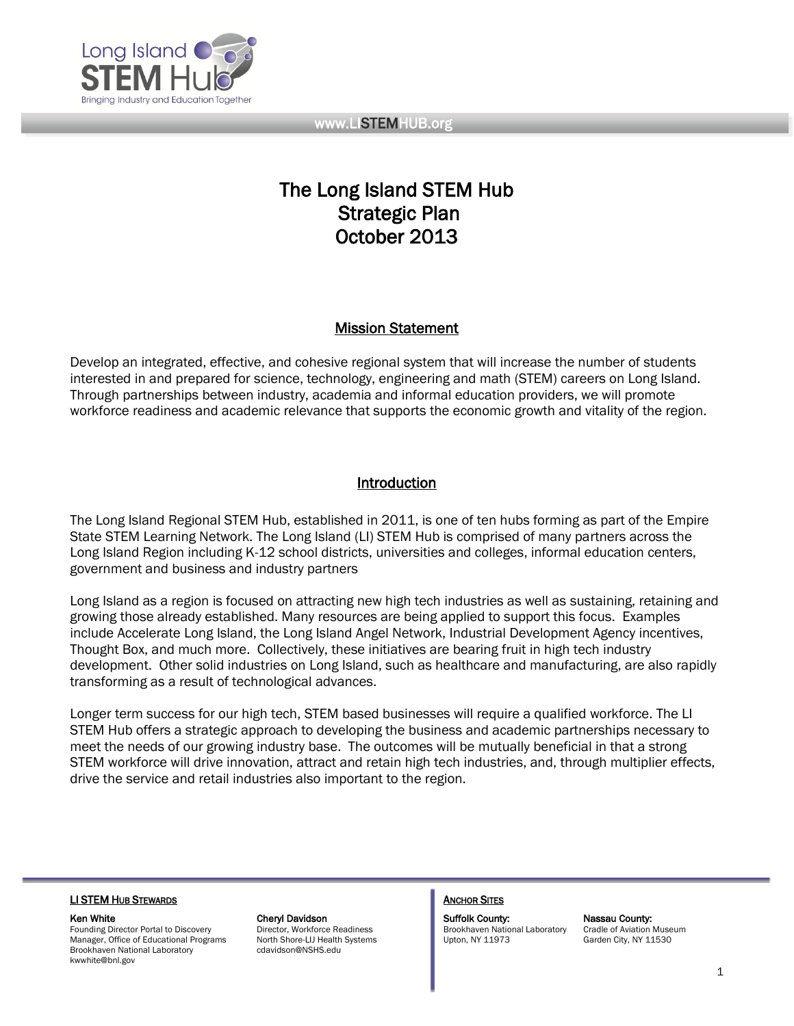

# The Long Island STEM Hub Strategic Plan October 2013

# Mission Statement

Develop an integrated, effective, and cohesive regional system that will increase the number of students interested in and prepared for science, technology, engineering and math (STEM) careers on Long Island. Through partnerships between industry, academia and informal education providers, we will promote workforce readiness and academic relevance that supports the economic growth and vitality of the region.

# Introduction

The Long Island Regional STEM Hub, established in 2011, is one of ten hubs forming as part of the Empire State STEM Learning Network. The Long Island (LI) STEM Hub is comprised of many partners across the Long Island Region including K-12 school districts, universities and colleges, informal education centers, government and business and industry partners

Long Island as a region is focused on attracting new high tech industries as well as sustaining, retaining and growing those already established. Many resources are being applied to support this focus. Examples include Accelerate Long Island, the Long Island Angel Network, Industrial Development Agency incentives, Thought Box, and much more. Collectively, these initiatives are bearing fruit in high tech industry development. Other solid industries on Long Island, such as healthcare and manufacturing, are also rapidly transforming as a result of technological advances.

Longer term success for our high tech, STEM based businesses will require a qualified workforce. The LI STEM Hub offers a strategic approach to developing the business and academic partnerships necessary to meet the needs of our growing industry base. The outcomes will be mutually beneficial in that a strong STEM workforce will drive innovation, attract and retain high tech industries, and, through multiplier effects, drive the service and retail industries also important to the region.

#### LI STEM HUB STEWARDS **ANCHOR SITES ANCHOR SITES**

Founding Director Portal to Discovery Director, Workforce Readiness Brookhaven National Laboratory Cradle of Aviation Museum Manager, Office of Educational Programs North Shore-LIJ Health Systems Upton, NY 11973 Garden City, NY 11530<br>Brookhaven National Laboratory cdavidson@NSHS.edu Brookhaven National Laboratory kwwhite@bnl.gov

Ken White **Cheryl Davidson** Cheryl Davidson **Suffolk County:** Nassau County: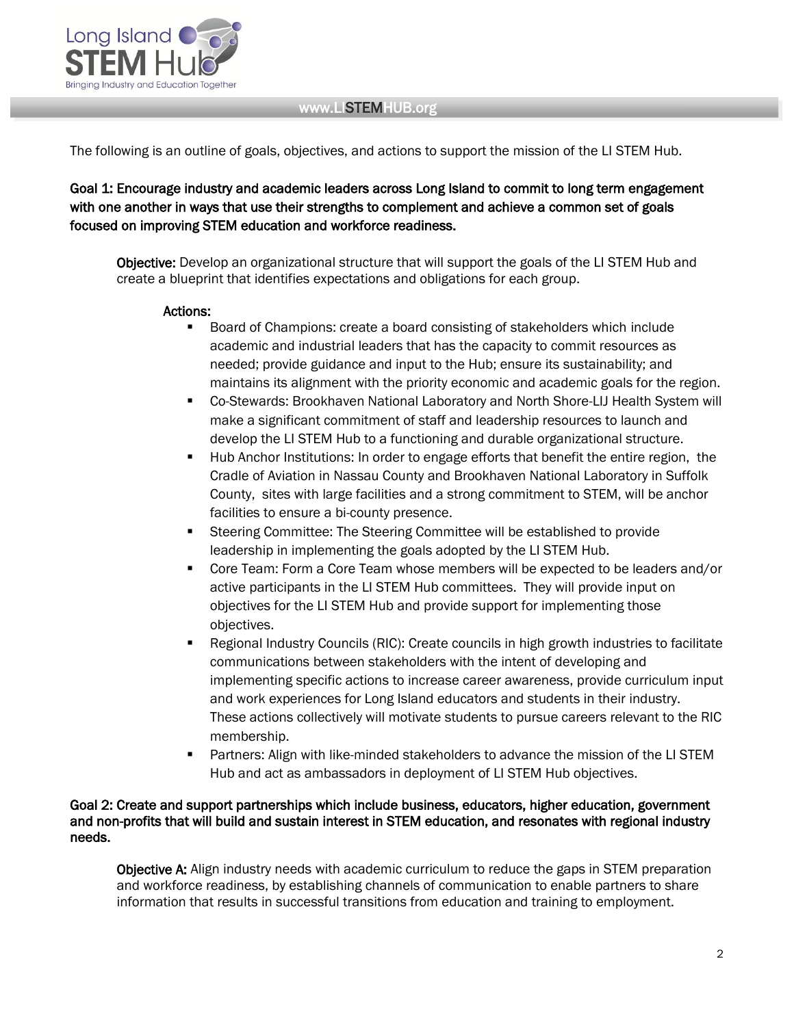

The following is an outline of goals, objectives, and actions to support the mission of the LI STEM Hub.

Goal 1: Encourage industry and academic leaders across Long Island to commit to long term engagement with one another in ways that use their strengths to complement and achieve a common set of goals focused on improving STEM education and workforce readiness.

Objective: Develop an organizational structure that will support the goals of the LI STEM Hub and create a blueprint that identifies expectations and obligations for each group.

#### Actions:

- Board of Champions: create a board consisting of stakeholders which include academic and industrial leaders that has the capacity to commit resources as needed; provide guidance and input to the Hub; ensure its sustainability; and maintains its alignment with the priority economic and academic goals for the region.
- Co-Stewards: Brookhaven National Laboratory and North Shore-LIJ Health System will make a significant commitment of staff and leadership resources to launch and develop the LI STEM Hub to a functioning and durable organizational structure.
- Hub Anchor Institutions: In order to engage efforts that benefit the entire region, the Cradle of Aviation in Nassau County and Brookhaven National Laboratory in Suffolk County, sites with large facilities and a strong commitment to STEM, will be anchor facilities to ensure a bi-county presence.
- Steering Committee: The Steering Committee will be established to provide leadership in implementing the goals adopted by the LI STEM Hub.
- Core Team: Form a Core Team whose members will be expected to be leaders and/or active participants in the LI STEM Hub committees. They will provide input on objectives for the LI STEM Hub and provide support for implementing those objectives.
- Regional Industry Councils (RIC): Create councils in high growth industries to facilitate communications between stakeholders with the intent of developing and implementing specific actions to increase career awareness, provide curriculum input and work experiences for Long Island educators and students in their industry. These actions collectively will motivate students to pursue careers relevant to the RIC membership.
- **Partners: Align with like-minded stakeholders to advance the mission of the LI STEM** Hub and act as ambassadors in deployment of LI STEM Hub objectives.

#### Goal 2: Create and support partnerships which include business, educators, higher education, government and non-profits that will build and sustain interest in STEM education, and resonates with regional industry needs.

Objective A: Align industry needs with academic curriculum to reduce the gaps in STEM preparation and workforce readiness, by establishing channels of communication to enable partners to share information that results in successful transitions from education and training to employment.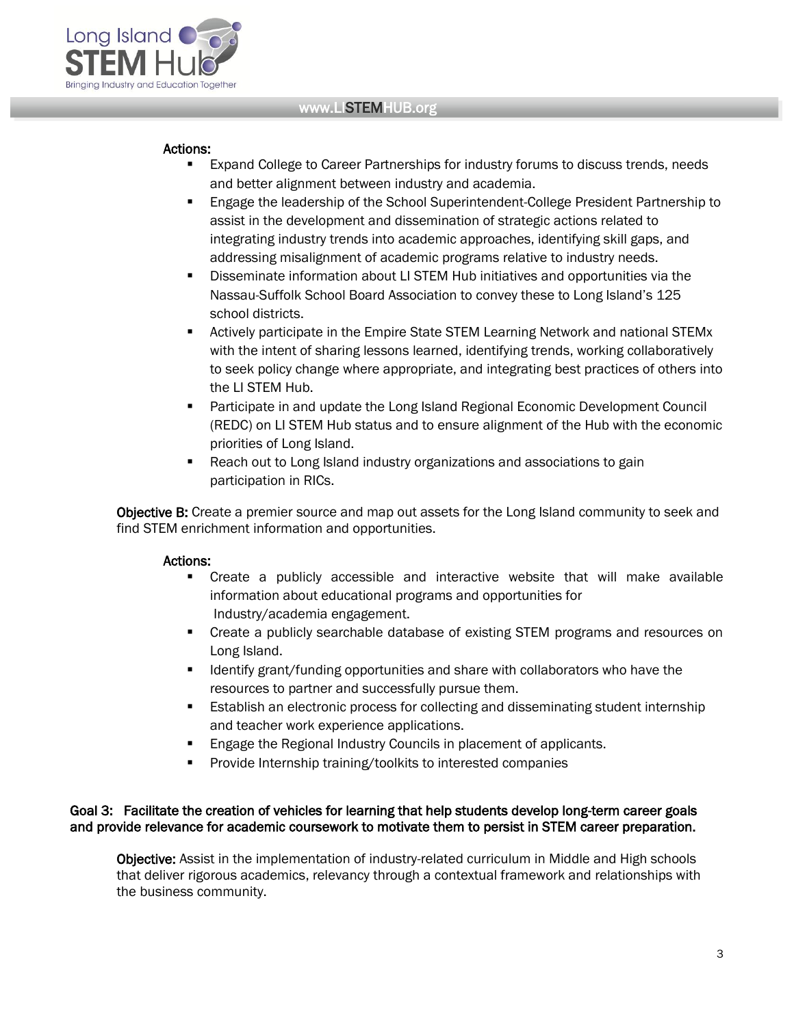

#### Actions:

- Expand College to Career Partnerships for industry forums to discuss trends, needs and better alignment between industry and academia.
- Engage the leadership of the School Superintendent-College President Partnership to assist in the development and dissemination of strategic actions related to integrating industry trends into academic approaches, identifying skill gaps, and addressing misalignment of academic programs relative to industry needs.
- Disseminate information about LI STEM Hub initiatives and opportunities via the Nassau-Suffolk School Board Association to convey these to Long Island's 125 school districts.
- Actively participate in the Empire State STEM Learning Network and national STEMx with the intent of sharing lessons learned, identifying trends, working collaboratively to seek policy change where appropriate, and integrating best practices of others into the LI STEM Hub.
- **Participate in and update the Long Island Regional Economic Development Council** (REDC) on LI STEM Hub status and to ensure alignment of the Hub with the economic priorities of Long Island.
- Reach out to Long Island industry organizations and associations to gain participation in RICs.

Objective B: Create a premier source and map out assets for the Long Island community to seek and find STEM enrichment information and opportunities.

# Actions:

- Create a publicly accessible and interactive website that will make available information about educational programs and opportunities for Industry/academia engagement.
- Create a publicly searchable database of existing STEM programs and resources on Long Island.
- **IDENTIFY 11** Identify grant/funding opportunities and share with collaborators who have the resources to partner and successfully pursue them.
- **Establish an electronic process for collecting and disseminating student internship** and teacher work experience applications.
- **Engage the Regional Industry Councils in placement of applicants.**
- Provide Internship training/toolkits to interested companies

#### Goal 3: Facilitate the creation of vehicles for learning that help students develop long-term career goals and provide relevance for academic coursework to motivate them to persist in STEM career preparation.

Objective: Assist in the implementation of industry-related curriculum in Middle and High schools that deliver rigorous academics, relevancy through a contextual framework and relationships with the business community.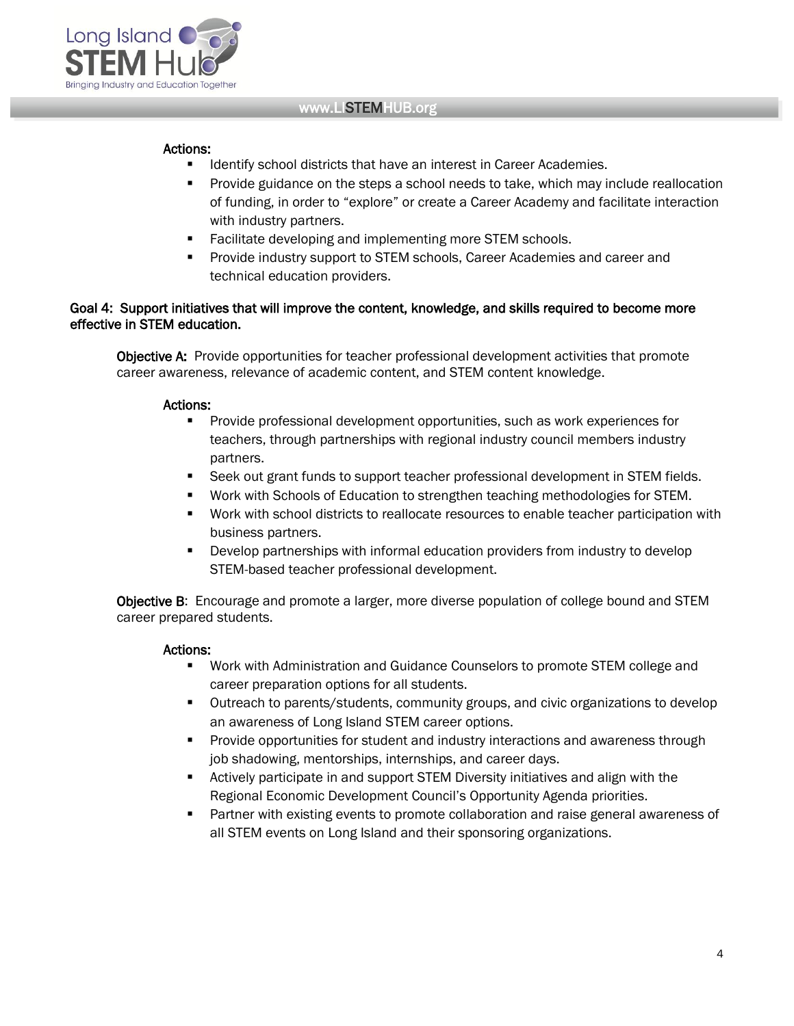

#### Actions:

- Identify school districts that have an interest in Career Academies.
- **Provide guidance on the steps a school needs to take, which may include reallocation** of funding, in order to "explore" or create a Career Academy and facilitate interaction with industry partners.
- **Facilitate developing and implementing more STEM schools.**
- **Provide industry support to STEM schools, Career Academies and career and** technical education providers.

### Goal 4: Support initiatives that will improve the content, knowledge, and skills required to become more effective in STEM education.

Objective A: Provide opportunities for teacher professional development activities that promote career awareness, relevance of academic content, and STEM content knowledge.

#### Actions:

- **Provide professional development opportunities, such as work experiences for** teachers, through partnerships with regional industry council members industry partners.
- **Seek out grant funds to support teacher professional development in STEM fields.**
- Work with Schools of Education to strengthen teaching methodologies for STEM.
- Work with school districts to reallocate resources to enable teacher participation with business partners.
- Develop partnerships with informal education providers from industry to develop STEM-based teacher professional development.

**Objective B:** Encourage and promote a larger, more diverse population of college bound and STEM career prepared students.

#### Actions:

- Work with Administration and Guidance Counselors to promote STEM college and career preparation options for all students.
- Outreach to parents/students, community groups, and civic organizations to develop an awareness of Long Island STEM career options.
- Provide opportunities for student and industry interactions and awareness through job shadowing, mentorships, internships, and career days.
- Actively participate in and support STEM Diversity initiatives and align with the Regional Economic Development Council's Opportunity Agenda priorities.
- Partner with existing events to promote collaboration and raise general awareness of all STEM events on Long Island and their sponsoring organizations.